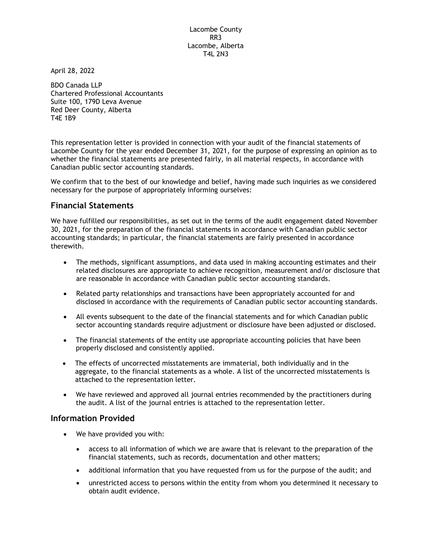Lacombe County RR3 Lacombe, Alberta T4L 2N3

April 28, 2022

BDO Canada LLP Chartered Professional Accountants Suite 100, 179D Leva Avenue Red Deer County, Alberta T4E 1B9

This representation letter is provided in connection with your audit of the financial statements of Lacombe County for the year ended December 31, 2021, for the purpose of expressing an opinion as to whether the financial statements are presented fairly, in all material respects, in accordance with Canadian public sector accounting standards.

We confirm that to the best of our knowledge and belief, having made such inquiries as we considered necessary for the purpose of appropriately informing ourselves:

# Financial Statements

We have fulfilled our responsibilities, as set out in the terms of the audit engagement dated November 30, 2021, for the preparation of the financial statements in accordance with Canadian public sector accounting standards; in particular, the financial statements are fairly presented in accordance therewith.

- The methods, significant assumptions, and data used in making accounting estimates and their related disclosures are appropriate to achieve recognition, measurement and/or disclosure that are reasonable in accordance with Canadian public sector accounting standards.
- Related party relationships and transactions have been appropriately accounted for and disclosed in accordance with the requirements of Canadian public sector accounting standards.
- All events subsequent to the date of the financial statements and for which Canadian public sector accounting standards require adjustment or disclosure have been adjusted or disclosed.
- The financial statements of the entity use appropriate accounting policies that have been properly disclosed and consistently applied.
- The effects of uncorrected misstatements are immaterial, both individually and in the aggregate, to the financial statements as a whole. A list of the uncorrected misstatements is attached to the representation letter.
- We have reviewed and approved all journal entries recommended by the practitioners during the audit. A list of the journal entries is attached to the representation letter.

### Information Provided

- We have provided you with:
	- access to all information of which we are aware that is relevant to the preparation of the financial statements, such as records, documentation and other matters;
	- additional information that you have requested from us for the purpose of the audit; and
	- unrestricted access to persons within the entity from whom you determined it necessary to obtain audit evidence.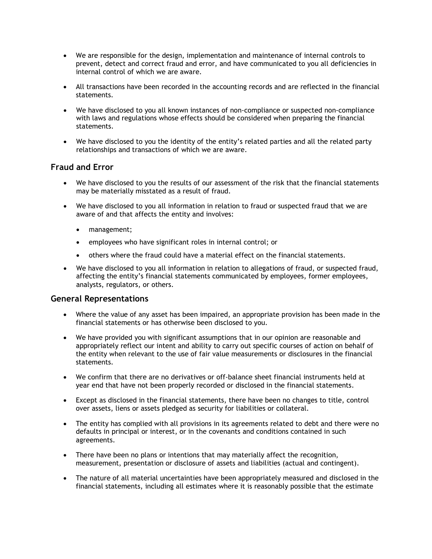- We are responsible for the design, implementation and maintenance of internal controls to prevent, detect and correct fraud and error, and have communicated to you all deficiencies in internal control of which we are aware.
- All transactions have been recorded in the accounting records and are reflected in the financial statements.
- We have disclosed to you all known instances of non-compliance or suspected non-compliance with laws and regulations whose effects should be considered when preparing the financial statements.
- We have disclosed to you the identity of the entity's related parties and all the related party relationships and transactions of which we are aware.

# Fraud and Error

- We have disclosed to you the results of our assessment of the risk that the financial statements may be materially misstated as a result of fraud.
- We have disclosed to you all information in relation to fraud or suspected fraud that we are aware of and that affects the entity and involves:
	- management;
	- employees who have significant roles in internal control; or
	- others where the fraud could have a material effect on the financial statements.
- We have disclosed to you all information in relation to allegations of fraud, or suspected fraud, affecting the entity's financial statements communicated by employees, former employees, analysts, regulators, or others.

### General Representations

- Where the value of any asset has been impaired, an appropriate provision has been made in the financial statements or has otherwise been disclosed to you.
- We have provided you with significant assumptions that in our opinion are reasonable and appropriately reflect our intent and ability to carry out specific courses of action on behalf of the entity when relevant to the use of fair value measurements or disclosures in the financial statements.
- We confirm that there are no derivatives or off-balance sheet financial instruments held at year end that have not been properly recorded or disclosed in the financial statements.
- Except as disclosed in the financial statements, there have been no changes to title, control over assets, liens or assets pledged as security for liabilities or collateral.
- The entity has complied with all provisions in its agreements related to debt and there were no defaults in principal or interest, or in the covenants and conditions contained in such agreements.
- There have been no plans or intentions that may materially affect the recognition, measurement, presentation or disclosure of assets and liabilities (actual and contingent).
- The nature of all material uncertainties have been appropriately measured and disclosed in the financial statements, including all estimates where it is reasonably possible that the estimate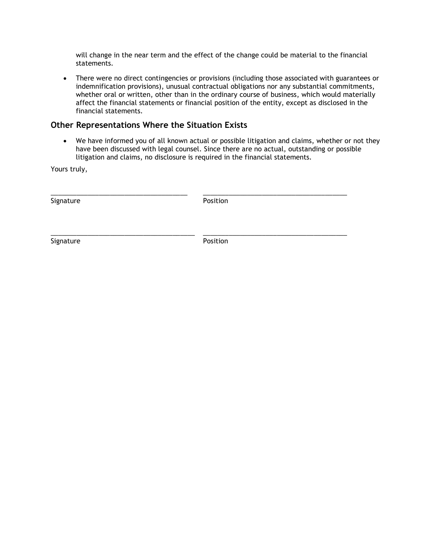will change in the near term and the effect of the change could be material to the financial statements.

• There were no direct contingencies or provisions (including those associated with guarantees or indemnification provisions), unusual contractual obligations nor any substantial commitments, whether oral or written, other than in the ordinary course of business, which would materially affect the financial statements or financial position of the entity, except as disclosed in the financial statements.

### Other Representations Where the Situation Exists

 We have informed you of all known actual or possible litigation and claims, whether or not they have been discussed with legal counsel. Since there are no actual, outstanding or possible litigation and claims, no disclosure is required in the financial statements.

Yours truly,

Signature **Position** 

\_\_\_\_\_\_\_\_\_\_\_\_\_\_\_\_\_\_\_\_\_\_\_\_\_\_\_\_\_\_\_\_\_\_\_\_\_ \_\_\_\_\_\_\_\_\_\_\_\_\_\_\_\_\_\_\_\_\_\_\_\_\_\_\_\_\_\_\_\_\_\_\_\_\_\_\_

\_\_\_\_\_\_\_\_\_\_\_\_\_\_\_\_\_\_\_\_\_\_\_\_\_\_\_\_\_\_\_\_\_\_\_\_\_\_\_ \_\_\_\_\_\_\_\_\_\_\_\_\_\_\_\_\_\_\_\_\_\_\_\_\_\_\_\_\_\_\_\_\_\_\_\_\_\_\_

Signature **Position**